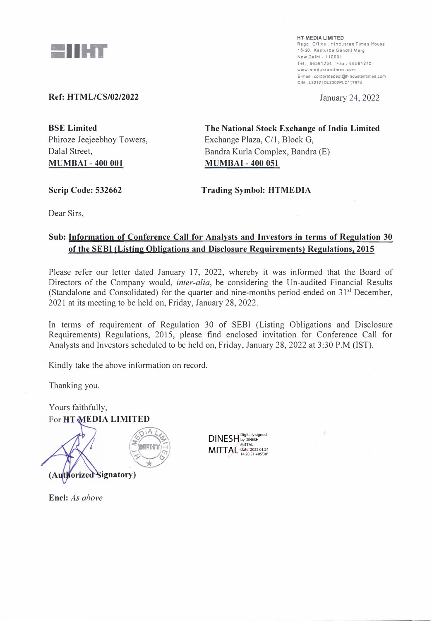

**HT MEDIA LIMITED**  Regd Office | Hindustan Times House **18-20. Kasturba Gandhi Marg �ew Delhi - 110001**  Tel· 66561234 Fax . 6656**1** 270 **www .hindustantimes.con E--rail corporatedept@h1noustant,mes com C,N l22121Dl2002PLC1'787'** 

January 24, 2022

### **Ref: HTML/CS/02/2022**

**BSE Limited**  Phiroze Jeejeebhoy Towers, Dalal Street, **MUMBAI - 400 001** 

**The National Stock Exchange of India Limited**  Exchange Plaza, C/1, Block G, Bandra Kurla Complex, Bandra (E) **MUMBAI - 400 051** 

**Scrip Code: 532662** 

**Trading Symbol: HTMEDIA** 

Dear Sirs,

## **Sub: Information of Conference Call for Analysts and Investors in terms of Regulation 30 of the SEBI {Listing Obligations and Disclosure Requirements) Regulations, 2015**

Please refer our letter dated January 17, 2022, whereby it was informed that the Board of Directors of the Company would, *inter-alia*, be considering the Un-audited Financial Results (Standalone and Consolidated) for the quarter and nine-months period ended on  $31<sup>st</sup>$  December, 2021 at its meeting to be held on, Friday, January 28, 2022.

In terms of requirement of Regulation 30 of SEBI (Listing Obligations and Disclosure Requirements) Regulations, 2015, please find enclosed invitation for Conference Call for Analysts and Investors scheduled to be held on, Friday, January 28, 2022 at 3:30 P.M (IST).

Kindly take the above information on record.

Thanking you.

Yours faithfully, **For HT MEDIA LIMITED** 



**DINESH** MITTAL Digitally signed by DINESH MITTAL Date: 2022.01.24 14:28:51 +05'30'

**Encl:** *As above*